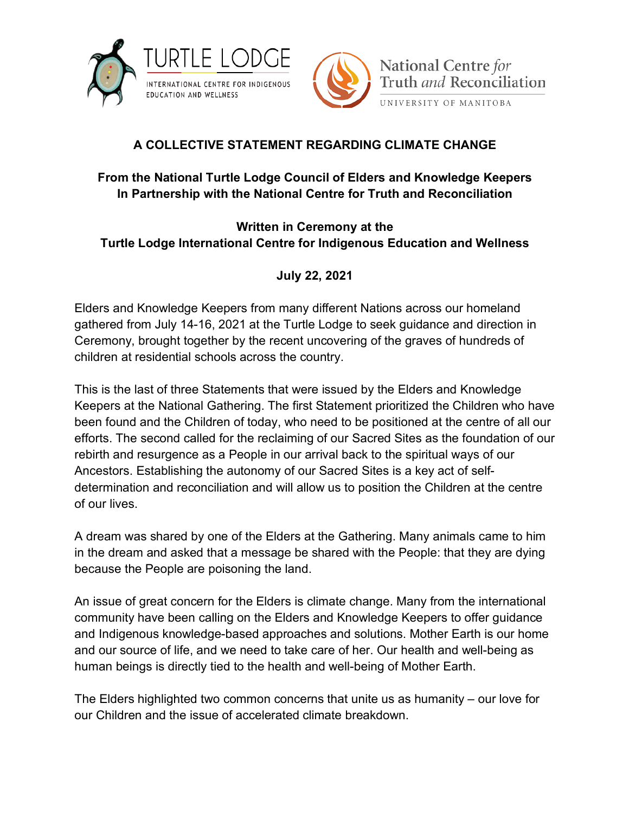



## **A COLLECTIVE STATEMENT REGARDING CLIMATE CHANGE**

## **From the National Turtle Lodge Council of Elders and Knowledge Keepers In Partnership with the National Centre for Truth and Reconciliation**

## **Written in Ceremony at the Turtle Lodge International Centre for Indigenous Education and Wellness**

## **July 22, 2021**

Elders and Knowledge Keepers from many different Nations across our homeland gathered from July 14-16, 2021 at the Turtle Lodge to seek guidance and direction in Ceremony, brought together by the recent uncovering of the graves of hundreds of children at residential schools across the country.

This is the last of three Statements that were issued by the Elders and Knowledge Keepers at the National Gathering. The first Statement prioritized the Children who have been found and the Children of today, who need to be positioned at the centre of all our efforts. The second called for the reclaiming of our Sacred Sites as the foundation of our rebirth and resurgence as a People in our arrival back to the spiritual ways of our Ancestors. Establishing the autonomy of our Sacred Sites is a key act of selfdetermination and reconciliation and will allow us to position the Children at the centre of our lives.

A dream was shared by one of the Elders at the Gathering. Many animals came to him in the dream and asked that a message be shared with the People: that they are dying because the People are poisoning the land.

An issue of great concern for the Elders is climate change. Many from the international community have been calling on the Elders and Knowledge Keepers to offer guidance and Indigenous knowledge-based approaches and solutions. Mother Earth is our home and our source of life, and we need to take care of her. Our health and well-being as human beings is directly tied to the health and well-being of Mother Earth.

The Elders highlighted two common concerns that unite us as humanity – our love for our Children and the issue of accelerated climate breakdown.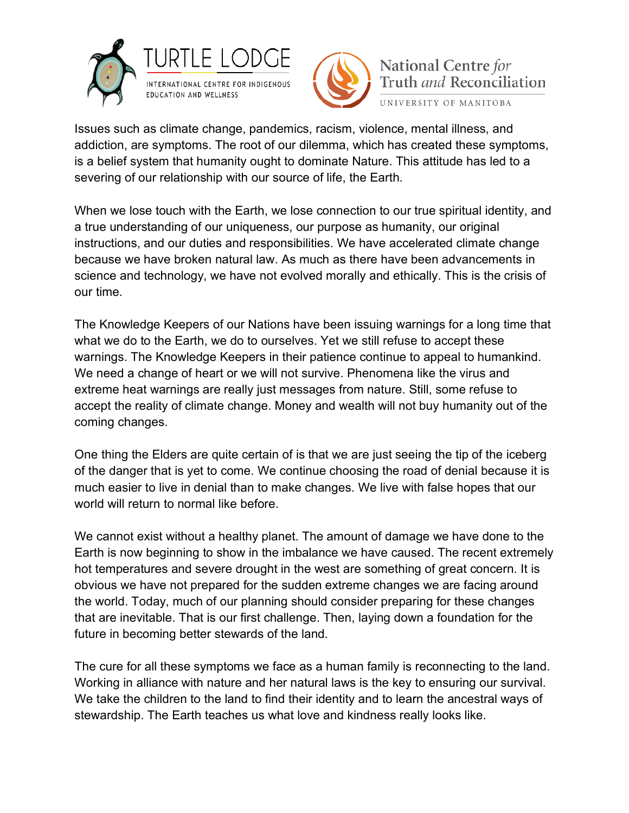



National Centre for Truth and Reconciliation UNIVERSITY OF MANITOBA

Issues such as climate change, pandemics, racism, violence, mental illness, and addiction, are symptoms. The root of our dilemma, which has created these symptoms, is a belief system that humanity ought to dominate Nature. This attitude has led to a severing of our relationship with our source of life, the Earth.

When we lose touch with the Earth, we lose connection to our true spiritual identity, and a true understanding of our uniqueness, our purpose as humanity, our original instructions, and our duties and responsibilities. We have accelerated climate change because we have broken natural law. As much as there have been advancements in science and technology, we have not evolved morally and ethically. This is the crisis of our time.

The Knowledge Keepers of our Nations have been issuing warnings for a long time that what we do to the Earth, we do to ourselves. Yet we still refuse to accept these warnings. The Knowledge Keepers in their patience continue to appeal to humankind. We need a change of heart or we will not survive. Phenomena like the virus and extreme heat warnings are really just messages from nature. Still, some refuse to accept the reality of climate change. Money and wealth will not buy humanity out of the coming changes.

One thing the Elders are quite certain of is that we are just seeing the tip of the iceberg of the danger that is yet to come. We continue choosing the road of denial because it is much easier to live in denial than to make changes. We live with false hopes that our world will return to normal like before.

We cannot exist without a healthy planet. The amount of damage we have done to the Earth is now beginning to show in the imbalance we have caused. The recent extremely hot temperatures and severe drought in the west are something of great concern. It is obvious we have not prepared for the sudden extreme changes we are facing around the world. Today, much of our planning should consider preparing for these changes that are inevitable. That is our first challenge. Then, laying down a foundation for the future in becoming better stewards of the land.

The cure for all these symptoms we face as a human family is reconnecting to the land. Working in alliance with nature and her natural laws is the key to ensuring our survival. We take the children to the land to find their identity and to learn the ancestral ways of stewardship. The Earth teaches us what love and kindness really looks like.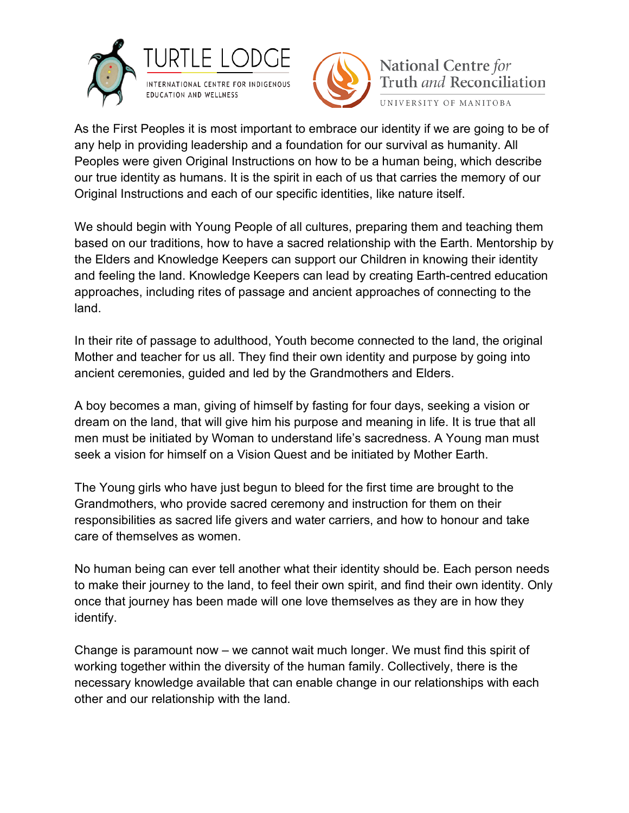



National Centre for Truth and Reconciliation UNIVERSITY OF MANITOBA

As the First Peoples it is most important to embrace our identity if we are going to be of any help in providing leadership and a foundation for our survival as humanity. All Peoples were given Original Instructions on how to be a human being, which describe our true identity as humans. It is the spirit in each of us that carries the memory of our Original Instructions and each of our specific identities, like nature itself.

We should begin with Young People of all cultures, preparing them and teaching them based on our traditions, how to have a sacred relationship with the Earth. Mentorship by the Elders and Knowledge Keepers can support our Children in knowing their identity and feeling the land. Knowledge Keepers can lead by creating Earth-centred education approaches, including rites of passage and ancient approaches of connecting to the land.

In their rite of passage to adulthood, Youth become connected to the land, the original Mother and teacher for us all. They find their own identity and purpose by going into ancient ceremonies, guided and led by the Grandmothers and Elders.

A boy becomes a man, giving of himself by fasting for four days, seeking a vision or dream on the land, that will give him his purpose and meaning in life. It is true that all men must be initiated by Woman to understand life's sacredness. A Young man must seek a vision for himself on a Vision Quest and be initiated by Mother Earth.

The Young girls who have just begun to bleed for the first time are brought to the Grandmothers, who provide sacred ceremony and instruction for them on their responsibilities as sacred life givers and water carriers, and how to honour and take care of themselves as women.

No human being can ever tell another what their identity should be. Each person needs to make their journey to the land, to feel their own spirit, and find their own identity. Only once that journey has been made will one love themselves as they are in how they identify.

Change is paramount now – we cannot wait much longer. We must find this spirit of working together within the diversity of the human family. Collectively, there is the necessary knowledge available that can enable change in our relationships with each other and our relationship with the land.